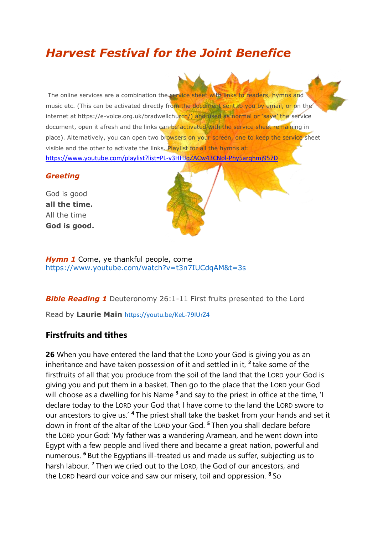# *Harvest Festival for the Joint Benefice*

The online services are a combination the service sheet with links to readers, hymns and music etc. (This can be activated directly from the document sent to you by email, or on the internet at https://e-voice.org.uk/bradwellchurch/) and used as normal or 'save' the service document, open it afresh and the links can be activated with the service sheet remaining in place). Alternatively, you can open two browsers on your screen, one to keep the service sheet visible and the other to activate the links. Playlist for all the hymns at: <https://www.youtube.com/playlist?list=PL-v3HHJqZACw43CNol-Phy5arqhmj957D>

#### *Greeting*

God is good **all the time.** All the time **God is good.**



**Hymn 1** Come, ye thankful people, come <https://www.youtube.com/watch?v=t3n7IUCdqAM&t=3s>

**Bible Reading 1** [Deuteronomy 26:1-11 F](http://www.biblegateway.com/passage/?search=Deuteronomy%2026:1-11%20&version=NIV)irst fruits presented to the Lord

Read by **Laurie Main** <https://youtu.be/KeL-79IUrZ4>

# **Firstfruits and tithes**

**26** When you have entered the land that the LORD your God is giving you as an inheritance and have taken possession of it and settled in it, **<sup>2</sup>** take some of the firstfruits of all that you produce from the soil of the land that the LORD your God is giving you and put them in a basket. Then go to the place that the LORD your God will choose as a dwelling for his Name **<sup>3</sup>** and say to the priest in office at the time, 'I declare today to the LORD your God that I have come to the land the LORD swore to our ancestors to give us.' **<sup>4</sup>** The priest shall take the basket from your hands and set it down in front of the altar of the LORD your God. **<sup>5</sup>** Then you shall declare before the LORD your God: 'My father was a wandering Aramean, and he went down into Egypt with a few people and lived there and became a great nation, powerful and numerous. **<sup>6</sup>** But the Egyptians ill-treated us and made us suffer, subjecting us to harsh labour. **<sup>7</sup>** Then we cried out to the LORD, the God of our ancestors, and the LORD heard our voice and saw our misery, toil and oppression. **<sup>8</sup>** So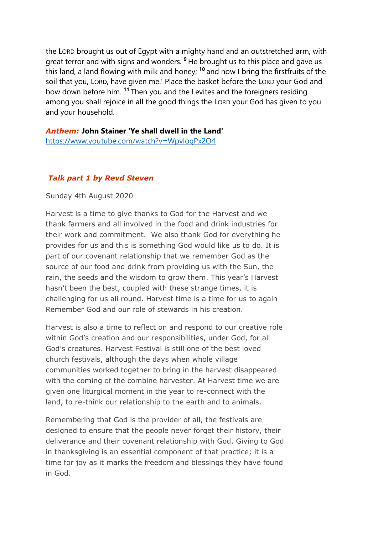the LORD brought us out of Egypt with a mighty hand and an outstretched arm, with great terror and with signs and wonders. **<sup>9</sup>** He brought us to this place and gave us this land, a land flowing with milk and honey; **<sup>10</sup>** and now I bring the firstfruits of the soil that you, LORD, have given me.' Place the basket before the LORD your God and bow down before him. **<sup>11</sup>** Then you and the Levites and the foreigners residing among you shall rejoice in all the good things the LORD your God has given to you and your household.

*Anthem:* **John Stainer 'Ye shall dwell in the Land'**  <https://www.youtube.com/watch?v=WpvIogPx2O4>

## *Talk part 1 by Revd Steven*

Sunday 4th August 2020

Harvest is a time to give thanks to God for the Harvest and we thank farmers and all involved in the food and drink industries for their work and commitment. We also thank God for everything he provides for us and this is something God would like us to do. It is part of our covenant relationship that we remember God as the source of our food and drink from providing us with the Sun, the rain, the seeds and the wisdom to grow them. This year's Harvest hasn't been the best, coupled with these strange times, it is challenging for us all round. Harvest time is a time for us to again Remember God and our role of stewards in his creation.

Harvest is also a time to reflect on and respond to our creative role within God's creation and our responsibilities, under God, for all God's creatures. Harvest Festival is still one of the best loved church festivals, although the days when whole village communities worked together to bring in the harvest disappeared with the coming of the combine harvester. At Harvest time we are given one liturgical moment in the year to re-connect with the land, to re-think our relationship to the earth and to animals.

Remembering that God is the provider of all, the festivals are designed to ensure that the people never forget their history, their deliverance and their covenant relationship with God. Giving to God in thanksgiving is an essential component of that practice; it is a time for joy as it marks the freedom and blessings they have found in God.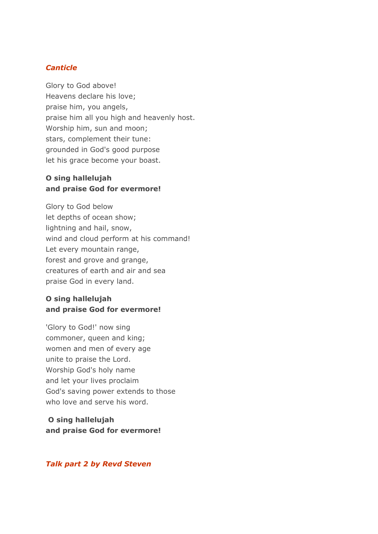#### *Canticle*

Glory to God above! Heavens declare his love; praise him, you angels, praise him all you high and heavenly host. Worship him, sun and moon; stars, complement their tune: grounded in God's good purpose let his grace become your boast.

## **O sing hallelujah and praise God for evermore!**

Glory to God below let depths of ocean show; lightning and hail, snow, wind and cloud perform at his command! Let every mountain range, forest and grove and grange, creatures of earth and air and sea praise God in every land.

## **O sing hallelujah and praise God for evermore!**

'Glory to God!' now sing commoner, queen and king; women and men of every age unite to praise the Lord. Worship God's holy name and let your lives proclaim God's saving power extends to those who love and serve his word.

# **O sing hallelujah and praise God for evermore!**

#### *Talk part 2 by Revd Steven*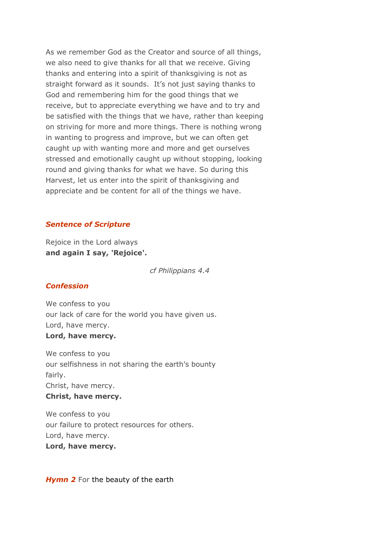As we remember God as the Creator and source of all things, we also need to give thanks for all that we receive. Giving thanks and entering into a spirit of thanksgiving is not as straight forward as it sounds. It's not just saying thanks to God and remembering him for the good things that we receive, but to appreciate everything we have and to try and be satisfied with the things that we have, rather than keeping on striving for more and more things. There is nothing wrong in wanting to progress and improve, but we can often get caught up with wanting more and more and get ourselves stressed and emotionally caught up without stopping, looking round and giving thanks for what we have. So during this Harvest, let us enter into the spirit of thanksgiving and appreciate and be content for all of the things we have.

#### *Sentence of Scripture*

Rejoice in the Lord always **and again I say, 'Rejoice'.**

*cf Philippians 4.4*

#### *Confession*

We confess to you our lack of care for the world you have given us. Lord, have mercy.

### **Lord, have mercy.**

We confess to you our selfishness in not sharing the earth's bounty fairly. Christ, have mercy. **Christ, have mercy.**

We confess to you our failure to protect resources for others. Lord, have mercy. **Lord, have mercy.**

#### **Hymn 2** For the beauty of the earth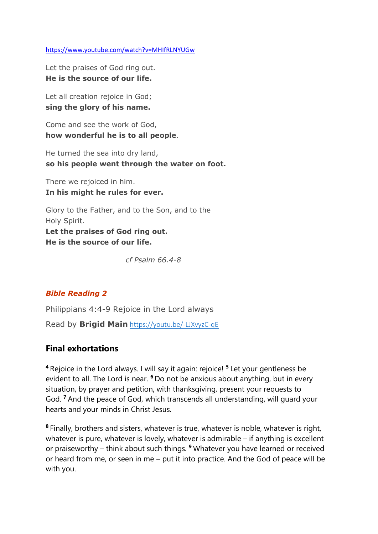<https://www.youtube.com/watch?v=MHIfRLNYUGw>

Let the praises of God ring out. **He is the source of our life.**

Let all creation rejoice in God: **sing the glory of his name.**

Come and see the work of God, **how wonderful he is to all people**.

He turned the sea into dry land, **so his people went through the water on foot.**

There we rejoiced in him. **In his might he rules for ever.**

Glory to the Father, and to the Son, and to the Holy Spirit. **Let the praises of God ring out. He is the source of our life.**

*cf Psalm 66.4-8*

## *Bible Reading 2*

[Philippians 4:4-9](http://www.biblegateway.com/passage/?search=Philippians%204:4-9&version=TNIV) Rejoice in the Lord always

Read by **Brigid Main** <https://youtu.be/-LJXvyzC-qE>

# **Final exhortations**

**<sup>4</sup>** Rejoice in the Lord always. I will say it again: rejoice! **<sup>5</sup>** Let your gentleness be evident to all. The Lord is near. **<sup>6</sup>** Do not be anxious about anything, but in every situation, by prayer and petition, with thanksgiving, present your requests to God. **<sup>7</sup>** And the peace of God, which transcends all understanding, will guard your hearts and your minds in Christ Jesus.

**8** Finally, brothers and sisters, whatever is true, whatever is noble, whatever is right, whatever is pure, whatever is lovely, whatever is admirable – if anything is excellent or praiseworthy – think about such things. **<sup>9</sup>** Whatever you have learned or received or heard from me, or seen in me – put it into practice. And the God of peace will be with you.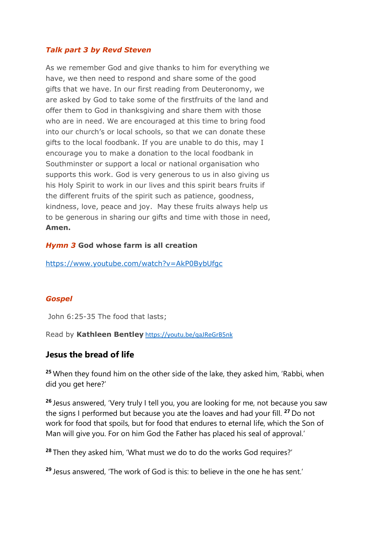### *Talk part 3 by Revd Steven*

As we remember God and give thanks to him for everything we have, we then need to respond and share some of the good gifts that we have. In our first reading from Deuteronomy, we are asked by God to take some of the firstfruits of the land and offer them to God in thanksgiving and share them with those who are in need. We are encouraged at this time to bring food into our church's or local schools, so that we can donate these gifts to the local foodbank. If you are unable to do this, may I encourage you to make a donation to the local foodbank in Southminster or support a local or national organisation who supports this work. God is very generous to us in also giving us his Holy Spirit to work in our lives and this spirit bears fruits if the different fruits of the spirit such as patience, goodness, kindness, love, peace and joy. May these fruits always help us to be generous in sharing our gifts and time with those in need, **Amen.**

#### *Hymn 3* **God whose farm is all creation**

<https://www.youtube.com/watch?v=AkP0BybUfgc>

#### *Gospel*

[John 6:25-35](http://www.biblegateway.com/passage/?search=John%206:25-35&version=TNIV) The food that lasts;

Read by **Kathleen Bentley** <https://youtu.be/qaJReGrB5nk>

## **Jesus the bread of life**

**<sup>25</sup>** When they found him on the other side of the lake, they asked him, 'Rabbi, when did you get here?'

**<sup>26</sup>** Jesus answered, 'Very truly I tell you, you are looking for me, not because you saw the signs I performed but because you ate the loaves and had your fill. **<sup>27</sup>** Do not work for food that spoils, but for food that endures to eternal life, which the Son of Man will give you. For on him God the Father has placed his seal of approval.'

**<sup>28</sup>** Then they asked him, 'What must we do to do the works God requires?'

**<sup>29</sup>** Jesus answered, 'The work of God is this: to believe in the one he has sent.'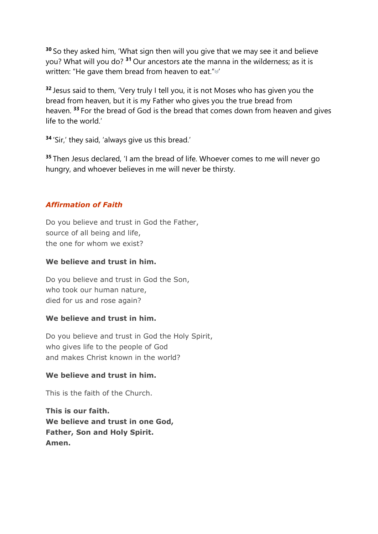**<sup>30</sup>** So they asked him, 'What sign then will you give that we may see it and believe you? What will you do? **<sup>31</sup>** Our ancestors ate the manna in the wilderness; as it is written: "He gave them bread from heaven to eat."a'

**<sup>32</sup>** Jesus said to them, 'Very truly I tell you, it is not Moses who has given you the bread from heaven, but it is my Father who gives you the true bread from heaven. **<sup>33</sup>** For the bread of God is the bread that comes down from heaven and gives life to the world.'

**<sup>34</sup>** 'Sir,' they said, 'always give us this bread.'

**<sup>35</sup>** Then Jesus declared, 'I am the bread of life. Whoever comes to me will never go hungry, and whoever believes in me will never be thirsty.

## *Affirmation of Faith*

Do you believe and trust in God the Father, source of all being and life, the one for whom we exist?

#### **We believe and trust in him.**

Do you believe and trust in God the Son, who took our human nature, died for us and rose again?

## **We believe and trust in him.**

Do you believe and trust in God the Holy Spirit, who gives life to the people of God and makes Christ known in the world?

## **We believe and trust in him.**

This is the faith of the Church.

**This is our faith. We believe and trust in one God, Father, Son and Holy Spirit. Amen.**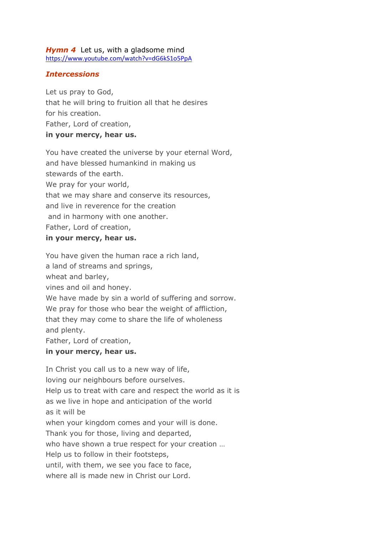#### *Hymn 4* Let us, with a gladsome mind <https://www.youtube.com/watch?v=dG6kS1o5PpA>

## *Intercessions*

Let us pray to God, that he will bring to fruition all that he desires for his creation. Father, Lord of creation, **in your mercy, hear us.**

You have created the universe by your eternal Word, and have blessed humankind in making us stewards of the earth. We pray for your world, that we may share and conserve its resources, and live in reverence for the creation and in harmony with one another. Father, Lord of creation,

#### **in your mercy, hear us.**

You have given the human race a rich land,

a land of streams and springs,

wheat and barley,

vines and oil and honey.

We have made by sin a world of suffering and sorrow.

We pray for those who bear the weight of affliction,

that they may come to share the life of wholeness

and plenty.

Father, Lord of creation,

## **in your mercy, hear us.**

In Christ you call us to a new way of life, loving our neighbours before ourselves. Help us to treat with care and respect the world as it is as we live in hope and anticipation of the world as it will be when your kingdom comes and your will is done. Thank you for those, living and departed, who have shown a true respect for your creation … Help us to follow in their footsteps, until, with them, we see you face to face, where all is made new in Christ our Lord.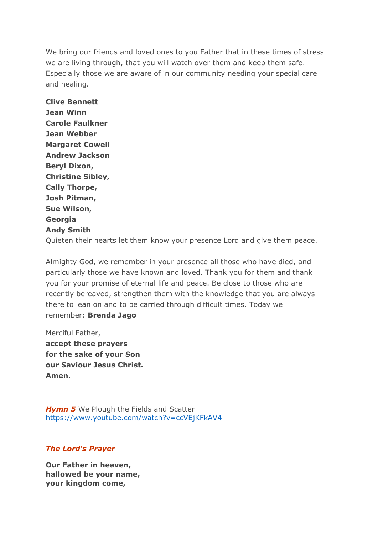We bring our friends and loved ones to you Father that in these times of stress we are living through, that you will watch over them and keep them safe. Especially those we are aware of in our community needing your special care and healing.

**Clive Bennett Jean Winn Carole Faulkner Jean Webber Margaret Cowell Andrew Jackson Beryl Dixon, Christine Sibley, Cally Thorpe, Josh Pitman, Sue Wilson, Georgia Andy Smith** Quieten their hearts let them know your presence Lord and give them peace.

Almighty God, we remember in your presence all those who have died, and particularly those we have known and loved. Thank you for them and thank you for your promise of eternal life and peace. Be close to those who are recently bereaved, strengthen them with the knowledge that you are always there to lean on and to be carried through difficult times. Today we

Merciful Father, **accept these prayers for the sake of your Son our Saviour Jesus Christ. Amen.**

remember: **Brenda Jago**

**Hymn 5** We Plough the Fields and Scatter <https://www.youtube.com/watch?v=ccVEjKFkAV4>

## *The Lord's Prayer*

**Our Father in heaven, hallowed be your name, your kingdom come,**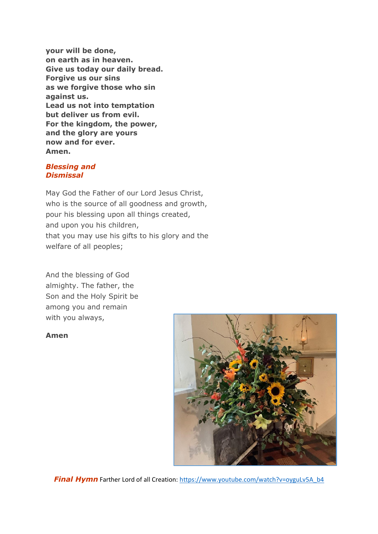**your will be done, on earth as in heaven. Give us today our daily bread. Forgive us our sins as we forgive those who sin against us. Lead us not into temptation but deliver us from evil. For the kingdom, the power, and the glory are yours now and for ever. Amen.**

#### *Blessing and Dismissal*

May God the Father of our Lord Jesus Christ, who is the source of all goodness and growth, pour his blessing upon all things created, and upon you his children, that you may use his gifts to his glory and the welfare of all peoples;

And the blessing of God almighty. The father, the Son and the Holy Spirit be among you and remain with you always,

#### **Amen**



**Final Hymn** Farther Lord of all Creation: [https://www.youtube.com/watch?v=oyguLv5A\\_b4](https://www.youtube.com/watch?v=oyguLv5A_b4)